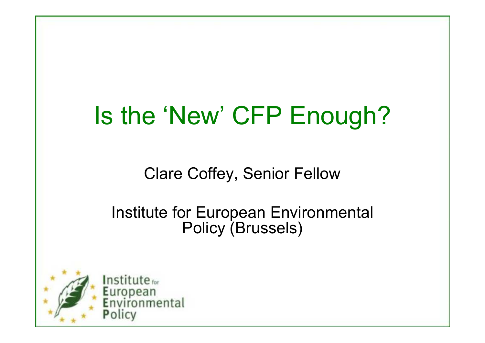# Is the 'New' CFP Enough?

Clare Coffey, Senior Fellow

Institute for European Environmental Policy (Brussels)

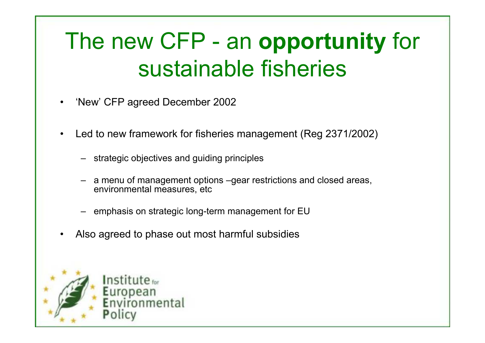# The new CFP - an opportunity for sustainable fisheries

- •'New' CFP agreed December 2002
- • Led to new framework for fisheries management (Reg 2371/2002)
	- strategic objectives and guiding principles
	- – a menu of management options –gear restrictions and closed areas, environmental measures, etc
	- emphasis on strategic long-term management for EU
- •Also agreed to phase out most harmful subsidies

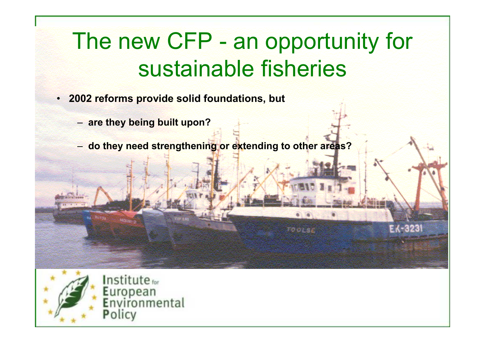### The new CFP - an opportunity for sustainable fisheries

an Sepa

EKC 328

- 2002 reforms provide solid foundations, but
	- are they being built upon?
	- do they need strengthening or extending to other areas?

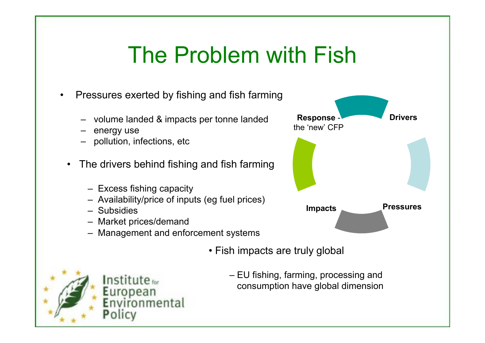#### The Problem with Fish

- • Pressures exerted by fishing and fish farming
	- volume landed & impacts per tonne landed
	- energy use
	- pollution, infections, etc
	- $\bullet$  The drivers behind fishing and fish farming
		- Excess fishing capacity
		- Availability/price of inputs (eg fuel prices)
		- Subsidies
		- Market prices/demand
		- Management and enforcement systems



**Drivers** 

• Fish impacts are truly global



– EU fishing, farming, processing andconsumption have global dimension

Response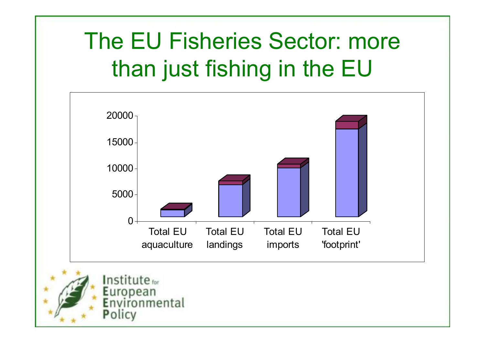# The EU Fisheries Sector: more than just fishing in the EU

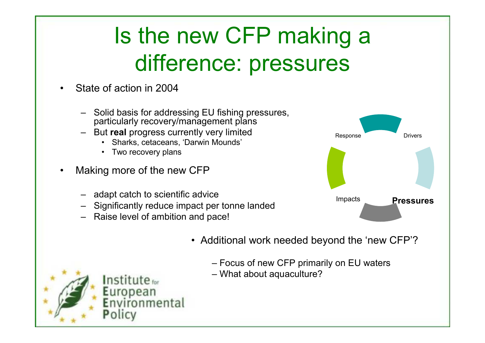# Is the new CFP making a difference: pressures

- • State of action in 2004
	- Solid basis for addressing EU fishing pressures, particularly recovery/management plans
	- But **real** progress currently very limited
		- Sharks, cetaceans, 'Darwin Mounds'
		- •Two recovery plans
- • Making more of the new CFP
	- adapt catch to scientific advice
	- Significantly reduce impact per tonne landed
	- Raise level of ambition and pace!



- Additional work needed beyond the 'new CFP'?
	- Focus of new CFP primarily on EU waters
	- What about aquaculture?

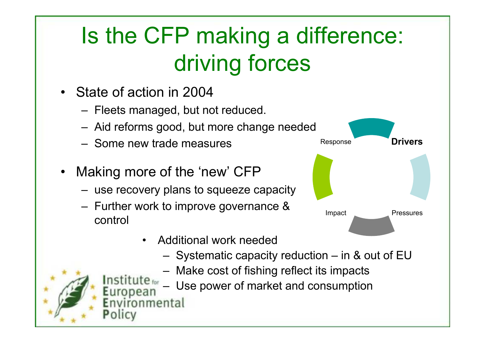# Is the CFP making a difference: driving forces

- State of action in 2004
	- –Fleets managed, but not reduced.
	- –Aid reforms good, but more change needed
	- Some new trade measures
- •Making more of the 'new' CFP

nmental

- $-$  1194 recovery plans to squeeze. use recovery plans to squeeze capacity
- – Further work to improve governance & control
	- • Additional work needed
		- –Systematic capacity reduction – in & out of EU
		- –Make cost of fishing reflect its impacts
	- **Ite** for Use power of market and consumption –.uropean



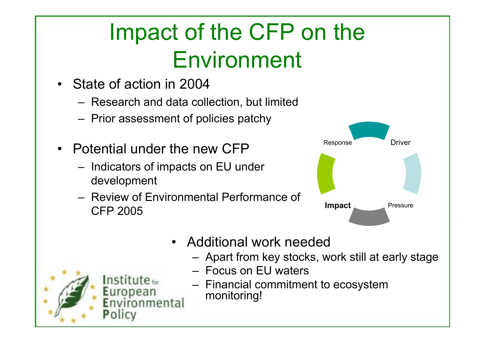# Impact of the CFP on the Environment

- State of action in 2004
	- Research and data collection, but limited
	- –Prior assessment of policies patchy
- Potential under the new CFP
	- – Indicators of impacts on EU under development
	- Review of Environmental Performance of CFP 2005



- $\bullet$  Additional work needed
	- –Apart from key stocks, work still at early stage
	- Focus on EU waters
	- – Financial commitment to ecosystem monitoring!

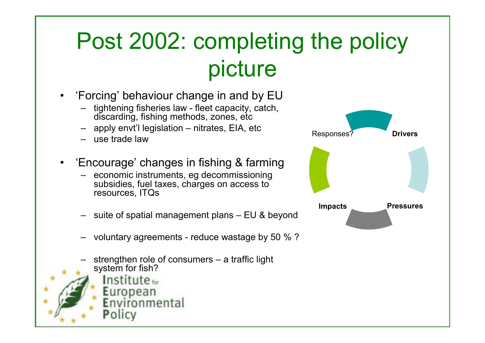### Post 2002: completing the policy picture

**Drivers** 

Pressures

Impacts

Responses?

- • 'Forcing' behaviour change in and by EU
	- tightening fisheries law fleet capacity, catch, discarding, fishing methods, zones, etc
	- apply envt'l legislation nitrates, EIA, etc
	- use trade law
- • 'Encourage' changes in fishing & farming
	- economic instruments, eg decommissioning subsidies, fuel taxes, charges on access to resources, ITQs
	- suite of spatial management plans EU & beyond
	- voluntary agreements reduce wastage by 50 % ?
	- strengthen role of consumers a traffic light system for fish?



Policy

Environmental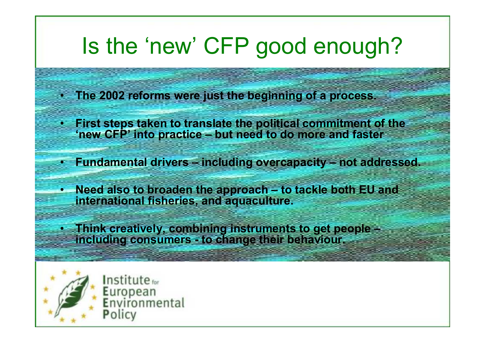#### Is the 'new' CFP good enough?

- The 2002 reforms were just the beginning of a process.
- • First steps taken to translate the political commitment of the 'new CFP' into practice – but need to do more and faster
- Fundamental drivers including overcapacity not addressed.
- Need also to broaden the approach to tackle both EU and international fisheries, and aquaculture.
- • Think creatively, combining instruments to get people –including consumers - to change their behaviour.



Institute<sub>for</sub> European<br>Environmental Policy